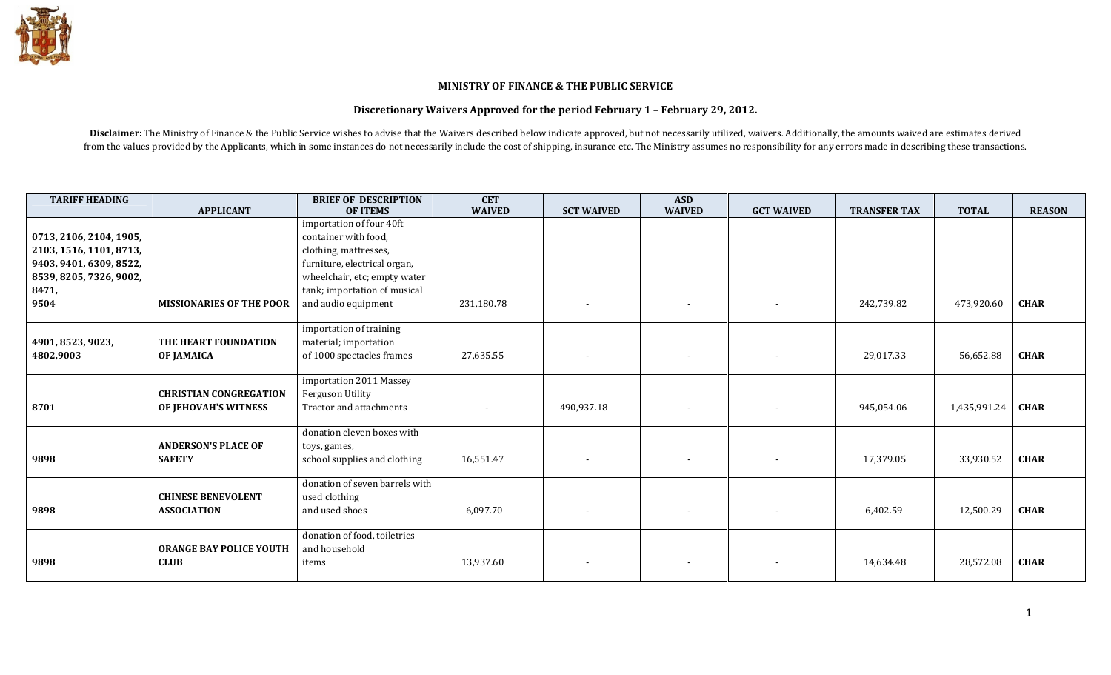

## MINISTRY OF FINANCE & THE PUBLIC SERVICE

## Discretionary Waivers Approved for the period February 1 – February 29, 2012.

Disclaimer: The Ministry of Finance & the Public Service wishes to advise that the Waivers described below indicate approved, but not necessarily utilized, waivers. Additionally, the amounts waived are estimates derived from the values provided by the Applicants, which in some instances do not necessarily include the cost of shipping, insurance etc. The Ministry assumes no responsibility for any errors made in describing these transaction

| <b>TARIFF HEADING</b>   |                                 | <b>BRIEF OF DESCRIPTION</b>    | <b>CET</b>               |                   | <b>ASD</b>               |                          |                     |              |               |
|-------------------------|---------------------------------|--------------------------------|--------------------------|-------------------|--------------------------|--------------------------|---------------------|--------------|---------------|
|                         | <b>APPLICANT</b>                | <b>OF ITEMS</b>                | <b>WAIVED</b>            | <b>SCT WAIVED</b> | <b>WAIVED</b>            | <b>GCT WAIVED</b>        | <b>TRANSFER TAX</b> | <b>TOTAL</b> | <b>REASON</b> |
|                         |                                 | importation of four 40ft       |                          |                   |                          |                          |                     |              |               |
| 0713, 2106, 2104, 1905, |                                 | container with food,           |                          |                   |                          |                          |                     |              |               |
| 2103, 1516, 1101, 8713, |                                 | clothing, mattresses,          |                          |                   |                          |                          |                     |              |               |
| 9403, 9401, 6309, 8522, |                                 | furniture, electrical organ,   |                          |                   |                          |                          |                     |              |               |
| 8539, 8205, 7326, 9002, |                                 | wheelchair, etc; empty water   |                          |                   |                          |                          |                     |              |               |
| 8471,                   |                                 | tank; importation of musical   |                          |                   |                          |                          |                     |              |               |
| 9504                    | <b>MISSIONARIES OF THE POOR</b> | and audio equipment            | 231,180.78               | $\sim$            | $\overline{\phantom{a}}$ | $\blacksquare$           | 242,739.82          | 473,920.60   | <b>CHAR</b>   |
|                         |                                 |                                |                          |                   |                          |                          |                     |              |               |
|                         |                                 | importation of training        |                          |                   |                          |                          |                     |              |               |
| 4901, 8523, 9023,       | THE HEART FOUNDATION            | material; importation          |                          |                   |                          |                          |                     |              |               |
| 4802,9003               | OF JAMAICA                      | of 1000 spectacles frames      | 27,635.55                | $\sim$            | $\overline{\phantom{a}}$ | $\overline{\phantom{a}}$ | 29,017.33           | 56,652.88    | <b>CHAR</b>   |
|                         |                                 |                                |                          |                   |                          |                          |                     |              |               |
|                         |                                 | importation 2011 Massey        |                          |                   |                          |                          |                     |              |               |
|                         | <b>CHRISTIAN CONGREGATION</b>   | Ferguson Utility               |                          |                   |                          |                          |                     |              |               |
| 8701                    | OF JEHOVAH'S WITNESS            | Tractor and attachments        | $\overline{\phantom{a}}$ | 490,937.18        | $\overline{\phantom{a}}$ |                          | 945,054.06          | 1,435,991.24 | <b>CHAR</b>   |
|                         |                                 |                                |                          |                   |                          |                          |                     |              |               |
|                         |                                 | donation eleven boxes with     |                          |                   |                          |                          |                     |              |               |
|                         | <b>ANDERSON'S PLACE OF</b>      | toys, games,                   |                          |                   |                          |                          |                     |              |               |
| 9898                    | <b>SAFETY</b>                   | school supplies and clothing   | 16,551.47                | $\sim$            | $\sim$                   | $\overline{\phantom{a}}$ | 17,379.05           | 33,930.52    | <b>CHAR</b>   |
|                         |                                 |                                |                          |                   |                          |                          |                     |              |               |
|                         |                                 | donation of seven barrels with |                          |                   |                          |                          |                     |              |               |
|                         | <b>CHINESE BENEVOLENT</b>       | used clothing                  |                          |                   |                          |                          |                     |              |               |
| 9898                    | <b>ASSOCIATION</b>              | and used shoes                 | 6,097.70                 | $\sim$            | $\sim$                   |                          | 6,402.59            | 12,500.29    | <b>CHAR</b>   |
|                         |                                 | donation of food, toiletries   |                          |                   |                          |                          |                     |              |               |
|                         | <b>ORANGE BAY POLICE YOUTH</b>  | and household                  |                          |                   |                          |                          |                     |              |               |
| 9898                    | <b>CLUB</b>                     | items                          | 13,937.60                | $\sim$            | $\sim$                   |                          | 14,634.48           | 28,572.08    | <b>CHAR</b>   |
|                         |                                 |                                |                          |                   |                          |                          |                     |              |               |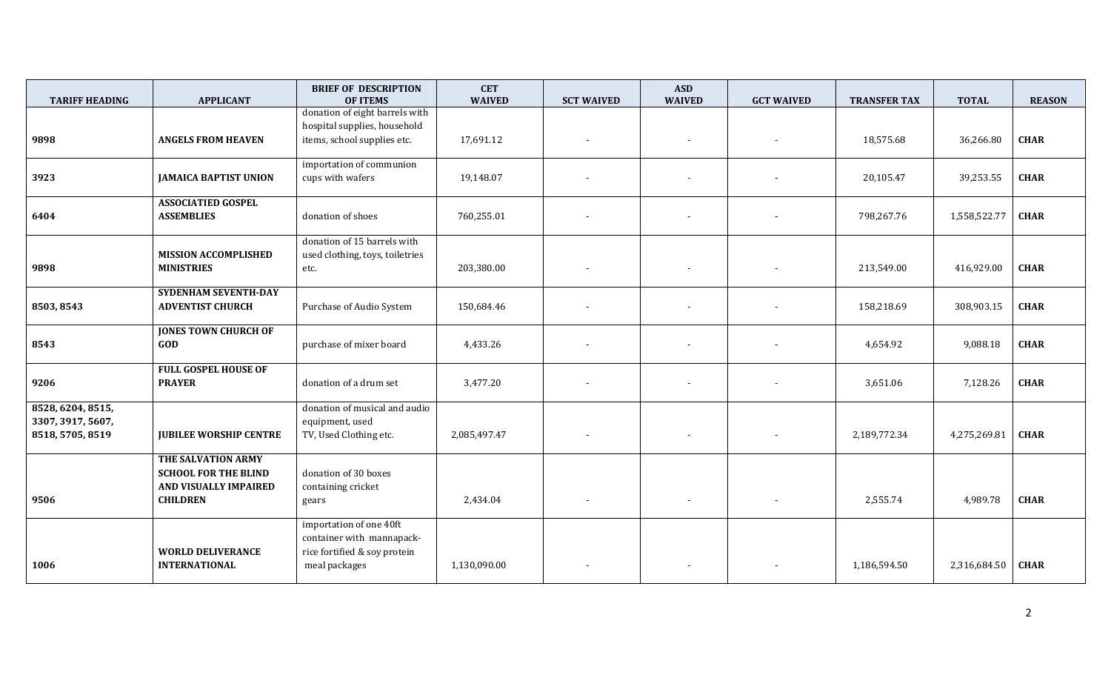| <b>TARIFF HEADING</b>                                      | <b>APPLICANT</b>                                                                              | <b>BRIEF OF DESCRIPTION</b><br><b>OF ITEMS</b>                                                        | <b>CET</b><br><b>WAIVED</b> | <b>SCT WAIVED</b>        | <b>ASD</b><br><b>WAIVED</b> | <b>GCT WAIVED</b> | <b>TRANSFER TAX</b> | <b>TOTAL</b> | <b>REASON</b> |
|------------------------------------------------------------|-----------------------------------------------------------------------------------------------|-------------------------------------------------------------------------------------------------------|-----------------------------|--------------------------|-----------------------------|-------------------|---------------------|--------------|---------------|
| 9898                                                       | <b>ANGELS FROM HEAVEN</b>                                                                     | donation of eight barrels with<br>hospital supplies, household<br>items, school supplies etc.         | 17,691.12                   |                          | $\overline{\phantom{a}}$    |                   | 18,575.68           | 36,266.80    | <b>CHAR</b>   |
| 3923                                                       | <b>JAMAICA BAPTIST UNION</b>                                                                  | importation of communion<br>cups with wafers                                                          | 19,148.07                   |                          |                             |                   | 20,105.47           | 39,253.55    | <b>CHAR</b>   |
| 6404                                                       | <b>ASSOCIATIED GOSPEL</b><br><b>ASSEMBLIES</b>                                                | donation of shoes                                                                                     | 760,255.01                  |                          | $\overline{\phantom{a}}$    |                   | 798,267.76          | 1,558,522.77 | <b>CHAR</b>   |
| 9898                                                       | <b>MISSION ACCOMPLISHED</b><br><b>MINISTRIES</b>                                              | donation of 15 barrels with<br>used clothing, toys, toiletries<br>etc.                                | 203,380.00                  |                          | $\overline{\phantom{a}}$    |                   | 213,549.00          | 416,929.00   | <b>CHAR</b>   |
| 8503, 8543                                                 | <b>SYDENHAM SEVENTH-DAY</b><br><b>ADVENTIST CHURCH</b>                                        | Purchase of Audio System                                                                              | 150,684.46                  | $\overline{\phantom{a}}$ | $\overline{\phantom{a}}$    |                   | 158,218.69          | 308,903.15   | <b>CHAR</b>   |
| 8543                                                       | <b>JONES TOWN CHURCH OF</b><br>GOD                                                            | purchase of mixer board                                                                               | 4,433.26                    |                          | $\overline{\phantom{a}}$    |                   | 4,654.92            | 9,088.18     | <b>CHAR</b>   |
| 9206                                                       | <b>FULL GOSPEL HOUSE OF</b><br><b>PRAYER</b>                                                  | donation of a drum set                                                                                | 3,477.20                    |                          |                             |                   | 3,651.06            | 7,128.26     | <b>CHAR</b>   |
| 8528, 6204, 8515,<br>3307, 3917, 5607,<br>8518, 5705, 8519 | <b>JUBILEE WORSHIP CENTRE</b>                                                                 | donation of musical and audio<br>equipment, used<br>TV, Used Clothing etc.                            | 2,085,497.47                | $\overline{\phantom{a}}$ | $\sim$                      | $\sim$            | 2,189,772.34        | 4,275,269.81 | <b>CHAR</b>   |
| 9506                                                       | THE SALVATION ARMY<br><b>SCHOOL FOR THE BLIND</b><br>AND VISUALLY IMPAIRED<br><b>CHILDREN</b> | donation of 30 boxes<br>containing cricket<br>gears                                                   | 2,434.04                    | $\overline{\phantom{a}}$ | $\overline{\phantom{a}}$    |                   | 2,555.74            | 4,989.78     | <b>CHAR</b>   |
| 1006                                                       | <b>WORLD DELIVERANCE</b><br><b>INTERNATIONAL</b>                                              | importation of one 40ft<br>container with mannapack-<br>rice fortified & soy protein<br>meal packages | 1,130,090.00                |                          |                             |                   | 1,186,594.50        | 2,316,684.50 | <b>CHAR</b>   |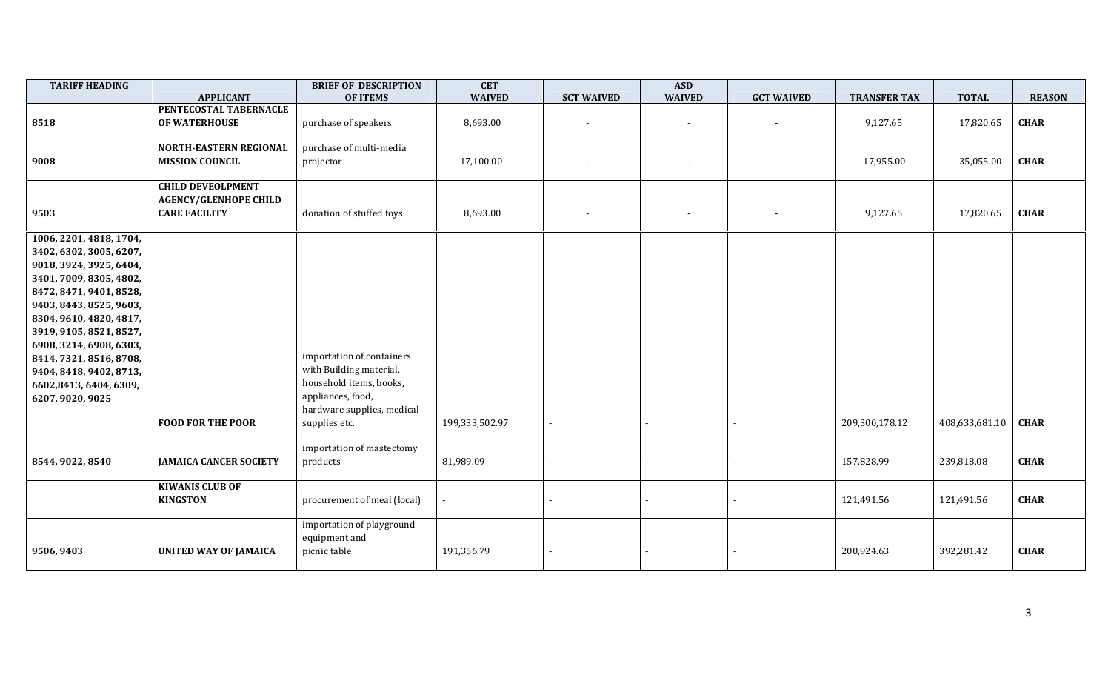| <b>TARIFF HEADING</b>                                                                                                                                                                                                                                                                                                                               | <b>APPLICANT</b>                                                                 | <b>BRIEF OF DESCRIPTION</b><br><b>OF ITEMS</b>                                                                                                      | <b>CET</b><br><b>WAIVED</b> | <b>SCT WAIVED</b>        | <b>ASD</b><br><b>WAIVED</b> | <b>GCT WAIVED</b> | <b>TRANSFER TAX</b> | <b>TOTAL</b>   | <b>REASON</b> |
|-----------------------------------------------------------------------------------------------------------------------------------------------------------------------------------------------------------------------------------------------------------------------------------------------------------------------------------------------------|----------------------------------------------------------------------------------|-----------------------------------------------------------------------------------------------------------------------------------------------------|-----------------------------|--------------------------|-----------------------------|-------------------|---------------------|----------------|---------------|
| 8518                                                                                                                                                                                                                                                                                                                                                | PENTECOSTAL TABERNACLE<br>OF WATERHOUSE                                          | purchase of speakers                                                                                                                                | 8,693.00                    | $\overline{\phantom{a}}$ | $\overline{\phantom{a}}$    |                   | 9,127.65            | 17,820.65      | <b>CHAR</b>   |
| 9008                                                                                                                                                                                                                                                                                                                                                | <b>NORTH-EASTERN REGIONAL</b><br><b>MISSION COUNCIL</b>                          | purchase of multi-media<br>projector                                                                                                                | 17,100.00                   |                          |                             |                   | 17,955.00           | 35,055.00      | <b>CHAR</b>   |
| 9503                                                                                                                                                                                                                                                                                                                                                | <b>CHILD DEVEOLPMENT</b><br><b>AGENCY/GLENHOPE CHILD</b><br><b>CARE FACILITY</b> | donation of stuffed toys                                                                                                                            | 8,693.00                    | $\sim$                   | $\overline{\phantom{a}}$    | $\blacksquare$    | 9,127.65            | 17,820.65      | <b>CHAR</b>   |
| 1006, 2201, 4818, 1704,<br>3402, 6302, 3005, 6207,<br>9018, 3924, 3925, 6404,<br>3401, 7009, 8305, 4802,<br>8472, 8471, 9401, 8528,<br>9403, 8443, 8525, 9603,<br>8304, 9610, 4820, 4817,<br>3919, 9105, 8521, 8527,<br>6908, 3214, 6908, 6303,<br>8414, 7321, 8516, 8708,<br>9404, 8418, 9402, 8713,<br>6602,8413, 6404, 6309,<br>6207, 9020, 9025 | <b>FOOD FOR THE POOR</b>                                                         | importation of containers<br>with Building material,<br>household items, books,<br>appliances, food,<br>hardware supplies, medical<br>supplies etc. | 199,333,502.97              | $\overline{\phantom{a}}$ |                             |                   | 209,300,178.12      | 408,633,681.10 | <b>CHAR</b>   |
| 8544, 9022, 8540                                                                                                                                                                                                                                                                                                                                    | <b>JAMAICA CANCER SOCIETY</b>                                                    | importation of mastectomy<br>products                                                                                                               | 81,989.09                   |                          |                             |                   | 157,828.99          | 239,818.08     | <b>CHAR</b>   |
|                                                                                                                                                                                                                                                                                                                                                     | <b>KIWANIS CLUB OF</b><br><b>KINGSTON</b>                                        | procurement of meal (local)                                                                                                                         |                             |                          |                             |                   | 121,491.56          | 121,491.56     | <b>CHAR</b>   |
| 9506, 9403                                                                                                                                                                                                                                                                                                                                          | <b>UNITED WAY OF JAMAICA</b>                                                     | importation of playground<br>equipment and<br>picnic table                                                                                          | 191,356.79                  | $\overline{\phantom{a}}$ |                             |                   | 200,924.63          | 392,281.42     | <b>CHAR</b>   |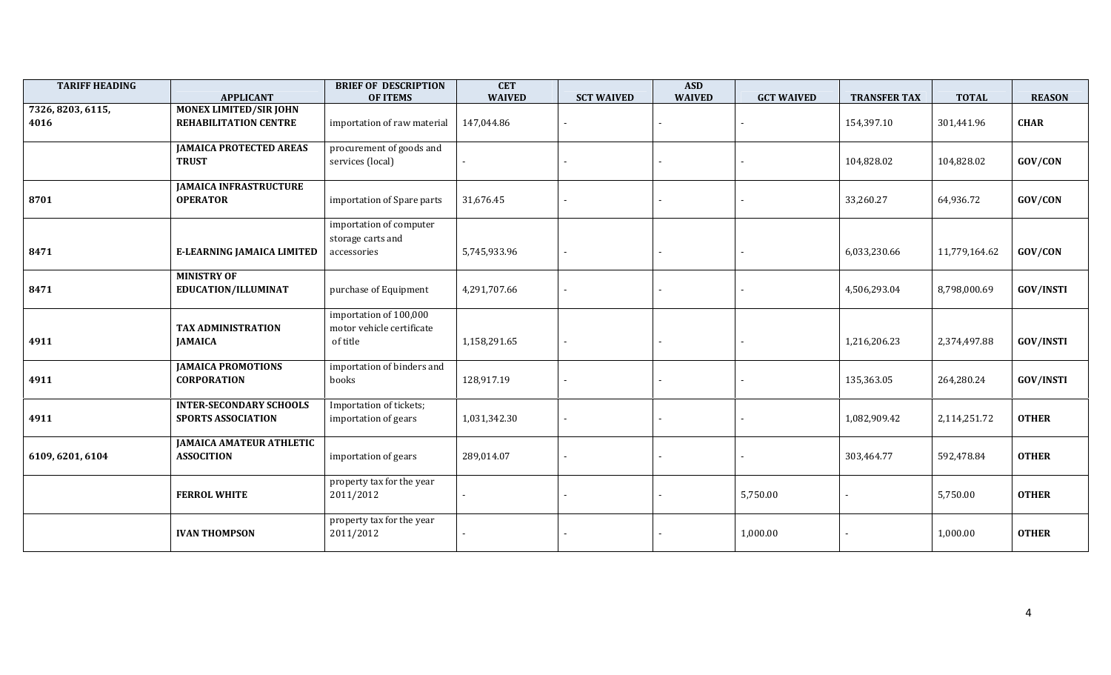| <b>TARIFF HEADING</b>     | <b>APPLICANT</b>                                       | <b>BRIEF OF DESCRIPTION</b><br><b>OF ITEMS</b>                  | <b>CET</b><br><b>WAIVED</b> | <b>SCT WAIVED</b> | <b>ASD</b><br><b>WAIVED</b> | <b>GCT WAIVED</b> | <b>TRANSFER TAX</b> | <b>TOTAL</b>  | <b>REASON</b>    |
|---------------------------|--------------------------------------------------------|-----------------------------------------------------------------|-----------------------------|-------------------|-----------------------------|-------------------|---------------------|---------------|------------------|
| 7326, 8203, 6115,<br>4016 | <b>MONEX LIMITED/SIR JOHN</b><br>REHABILITATION CENTRE | importation of raw material                                     | 147,044.86                  |                   |                             |                   | 154,397.10          | 301,441.96    | <b>CHAR</b>      |
|                           | <b>JAMAICA PROTECTED AREAS</b><br><b>TRUST</b>         | procurement of goods and<br>services (local)                    |                             |                   |                             |                   | 104,828.02          | 104,828.02    | GOV/CON          |
| 8701                      | <b>JAMAICA INFRASTRUCTURE</b><br><b>OPERATOR</b>       | importation of Spare parts                                      | 31,676.45                   |                   |                             |                   | 33,260.27           | 64,936.72     | GOV/CON          |
| 8471                      | <b>E-LEARNING JAMAICA LIMITED</b>                      | importation of computer<br>storage carts and<br>accessories     | 5,745,933.96                |                   |                             |                   | 6,033,230.66        | 11,779,164.62 | GOV/CON          |
| 8471                      | <b>MINISTRY OF</b><br>EDUCATION/ILLUMINAT              | purchase of Equipment                                           | 4,291,707.66                |                   |                             |                   | 4,506,293.04        | 8,798,000.69  | <b>GOV/INSTI</b> |
| 4911                      | <b>TAX ADMINISTRATION</b><br><b>JAMAICA</b>            | importation of 100,000<br>motor vehicle certificate<br>of title | 1,158,291.65                |                   |                             |                   | 1,216,206.23        | 2,374,497.88  | <b>GOV/INSTI</b> |
| 4911                      | <b>JAMAICA PROMOTIONS</b><br><b>CORPORATION</b>        | importation of binders and<br>books                             | 128,917.19                  |                   |                             |                   | 135,363.05          | 264,280.24    | <b>GOV/INSTI</b> |
| 4911                      | <b>INTER-SECONDARY SCHOOLS</b><br>SPORTS ASSOCIATION   | Importation of tickets;<br>importation of gears                 | 1,031,342.30                |                   |                             |                   | 1,082,909.42        | 2,114,251.72  | <b>OTHER</b>     |
| 6109, 6201, 6104          | <b>JAMAICA AMATEUR ATHLETIC</b><br><b>ASSOCITION</b>   | importation of gears                                            | 289,014.07                  |                   |                             |                   | 303,464.77          | 592,478.84    | <b>OTHER</b>     |
|                           | <b>FERROL WHITE</b>                                    | property tax for the year<br>2011/2012                          |                             |                   |                             | 5,750.00          |                     | 5,750.00      | <b>OTHER</b>     |
|                           | <b>IVAN THOMPSON</b>                                   | property tax for the year<br>2011/2012                          |                             |                   |                             | 1,000.00          |                     | 1,000.00      | <b>OTHER</b>     |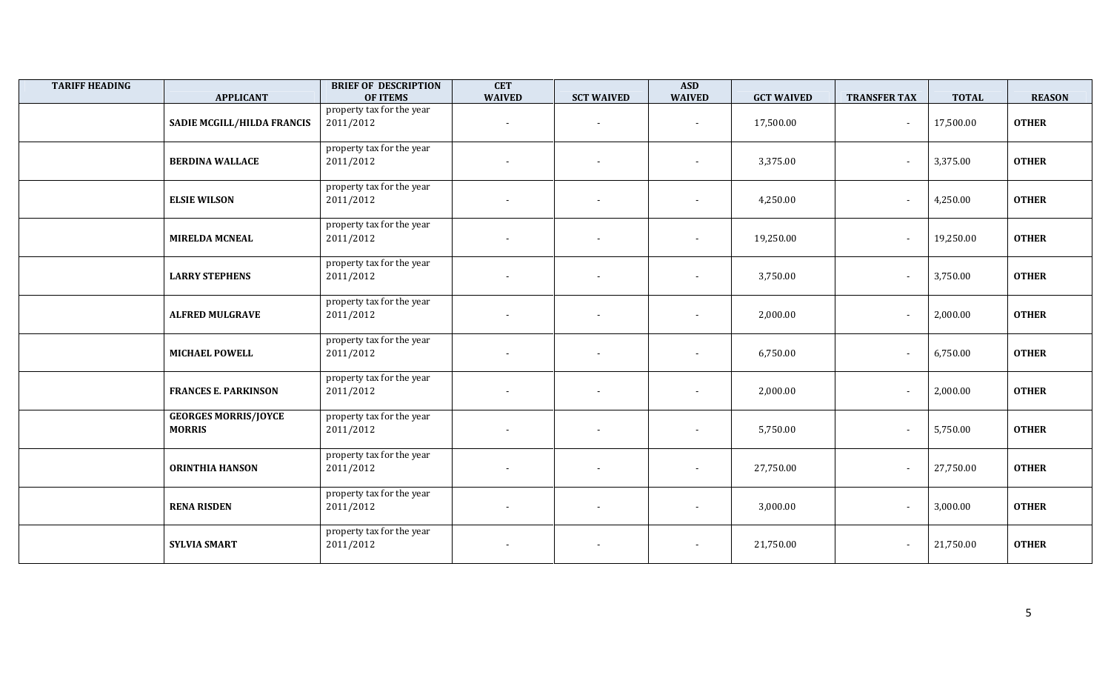| <b>TARIFF HEADING</b> | <b>APPLICANT</b>                             | <b>BRIEF OF DESCRIPTION</b><br><b>OF ITEMS</b> | <b>CET</b><br><b>WAIVED</b> | <b>SCT WAIVED</b>        | <b>ASD</b><br><b>WAIVED</b> | <b>GCT WAIVED</b> | <b>TRANSFER TAX</b>      | <b>TOTAL</b> | <b>REASON</b> |
|-----------------------|----------------------------------------------|------------------------------------------------|-----------------------------|--------------------------|-----------------------------|-------------------|--------------------------|--------------|---------------|
|                       | SADIE MCGILL/HILDA FRANCIS                   | property tax for the year<br>2011/2012         | $\overline{\phantom{a}}$    | $\overline{\phantom{a}}$ | $\overline{\phantom{a}}$    | 17,500.00         | $\overline{\phantom{a}}$ | 17,500.00    | <b>OTHER</b>  |
|                       | <b>BERDINA WALLACE</b>                       | property tax for the year<br>2011/2012         |                             | $\blacksquare$           |                             | 3,375.00          |                          | 3,375.00     | <b>OTHER</b>  |
|                       | <b>ELSIE WILSON</b>                          | property tax for the year<br>2011/2012         | $\overline{\phantom{a}}$    | $\blacksquare$           | $\overline{\phantom{a}}$    | 4,250.00          |                          | 4,250.00     | <b>OTHER</b>  |
|                       | <b>MIRELDA MCNEAL</b>                        | property tax for the year<br>2011/2012         | $\sim$                      | $\blacksquare$           | $\overline{\phantom{a}}$    | 19,250.00         |                          | 19,250.00    | <b>OTHER</b>  |
|                       | <b>LARRY STEPHENS</b>                        | property tax for the year<br>2011/2012         | $\blacksquare$              | $\overline{\phantom{a}}$ | $\overline{\phantom{a}}$    | 3,750.00          | $\overline{\phantom{a}}$ | 3,750.00     | <b>OTHER</b>  |
|                       | <b>ALFRED MULGRAVE</b>                       | property tax for the year<br>2011/2012         | $\overline{\phantom{a}}$    | $\overline{\phantom{a}}$ |                             | 2,000.00          |                          | 2,000.00     | <b>OTHER</b>  |
|                       | <b>MICHAEL POWELL</b>                        | property tax for the year<br>2011/2012         | $\blacksquare$              | $\overline{\phantom{a}}$ | $\overline{\phantom{a}}$    | 6,750.00          |                          | 6,750.00     | <b>OTHER</b>  |
|                       | <b>FRANCES E. PARKINSON</b>                  | property tax for the year<br>2011/2012         | $\sim$                      | $\overline{\phantom{a}}$ | $\overline{\phantom{a}}$    | 2,000.00          |                          | 2,000.00     | <b>OTHER</b>  |
|                       | <b>GEORGES MORRIS/JOYCE</b><br><b>MORRIS</b> | property tax for the year<br>2011/2012         | $\blacksquare$              | $\overline{\phantom{a}}$ | $\overline{\phantom{a}}$    | 5,750.00          | $\overline{\phantom{a}}$ | 5,750.00     | <b>OTHER</b>  |
|                       | <b>ORINTHIA HANSON</b>                       | property tax for the year<br>2011/2012         | $\overline{\phantom{a}}$    |                          | $\overline{a}$              | 27,750.00         |                          | 27,750.00    | <b>OTHER</b>  |
|                       | <b>RENA RISDEN</b>                           | property tax for the year<br>2011/2012         | $\blacksquare$              |                          | $\overline{a}$              | 3,000.00          | $\overline{\phantom{a}}$ | 3,000.00     | <b>OTHER</b>  |
|                       | <b>SYLVIA SMART</b>                          | property tax for the year<br>2011/2012         | $\overline{\phantom{a}}$    | $\overline{\phantom{a}}$ | $\overline{\phantom{a}}$    | 21,750.00         |                          | 21,750.00    | <b>OTHER</b>  |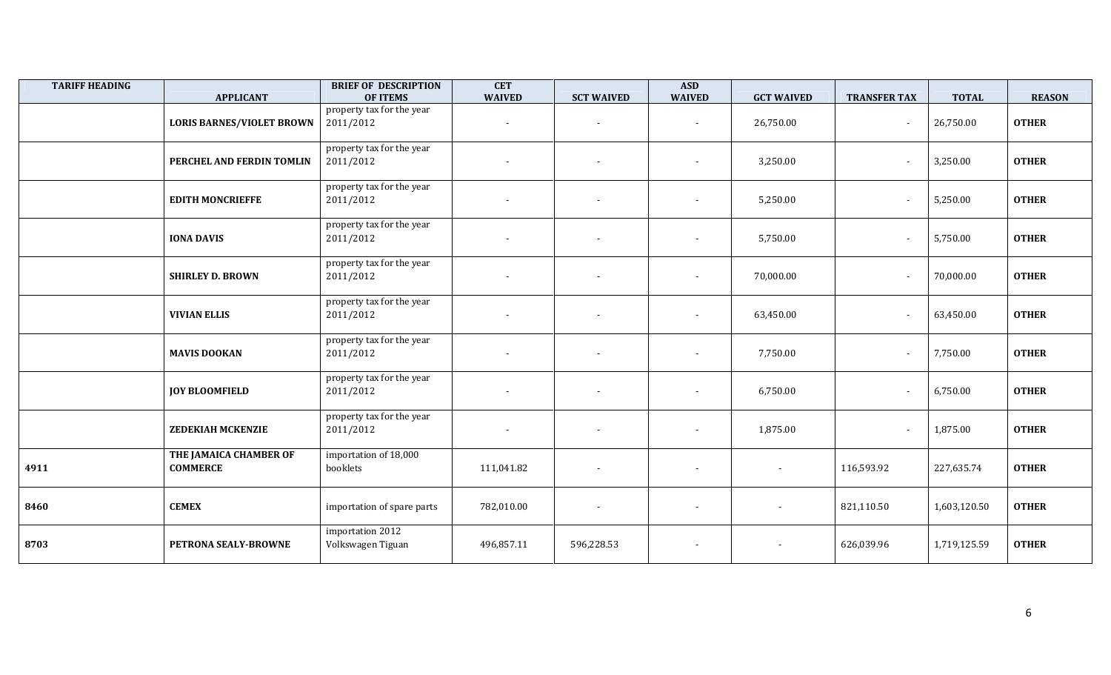| <b>TARIFF HEADING</b> | <b>APPLICANT</b>                          | <b>BRIEF OF DESCRIPTION</b><br><b>OF ITEMS</b> | <b>CET</b><br><b>WAIVED</b> | <b>SCT WAIVED</b>        | <b>ASD</b><br><b>WAIVED</b> | <b>GCT WAIVED</b>        | <b>TRANSFER TAX</b> | <b>TOTAL</b> | <b>REASON</b> |
|-----------------------|-------------------------------------------|------------------------------------------------|-----------------------------|--------------------------|-----------------------------|--------------------------|---------------------|--------------|---------------|
|                       | <b>LORIS BARNES/VIOLET BROWN</b>          | property tax for the year<br>2011/2012         |                             | $\blacksquare$           |                             | 26,750.00                |                     | 26,750.00    | <b>OTHER</b>  |
|                       | PERCHEL AND FERDIN TOMLIN                 | property tax for the year<br>2011/2012         |                             | $\overline{\phantom{a}}$ | $\overline{\phantom{a}}$    | 3,250.00                 |                     | 3,250.00     | <b>OTHER</b>  |
|                       | <b>EDITH MONCRIEFFE</b>                   | property tax for the year<br>2011/2012         |                             |                          |                             | 5,250.00                 |                     | 5,250.00     | <b>OTHER</b>  |
|                       | <b>IONA DAVIS</b>                         | property tax for the year<br>2011/2012         |                             | $\overline{\phantom{a}}$ | $\overline{\phantom{a}}$    | 5,750.00                 |                     | 5,750.00     | <b>OTHER</b>  |
|                       | <b>SHIRLEY D. BROWN</b>                   | property tax for the year<br>2011/2012         |                             |                          |                             | 70,000.00                |                     | 70,000.00    | <b>OTHER</b>  |
|                       | <b>VIVIAN ELLIS</b>                       | property tax for the year<br>2011/2012         |                             | $\overline{\phantom{a}}$ | $\overline{\phantom{a}}$    | 63,450.00                |                     | 63,450.00    | <b>OTHER</b>  |
|                       | <b>MAVIS DOOKAN</b>                       | property tax for the year<br>2011/2012         |                             |                          | $\overline{\phantom{a}}$    | 7,750.00                 |                     | 7,750.00     | <b>OTHER</b>  |
|                       | <b>JOY BLOOMFIELD</b>                     | property tax for the year<br>2011/2012         | $\overline{\phantom{a}}$    |                          | $\blacksquare$              | 6,750.00                 |                     | 6,750.00     | <b>OTHER</b>  |
|                       | <b>ZEDEKIAH MCKENZIE</b>                  | property tax for the year<br>2011/2012         | $\overline{\phantom{a}}$    | $\overline{\phantom{a}}$ | $\overline{\phantom{a}}$    | 1,875.00                 |                     | 1,875.00     | <b>OTHER</b>  |
| 4911                  | THE JAMAICA CHAMBER OF<br><b>COMMERCE</b> | importation of 18,000<br>booklets              | 111,041.82                  |                          |                             | $\overline{\phantom{a}}$ | 116,593.92          | 227,635.74   | <b>OTHER</b>  |
| 8460                  | <b>CEMEX</b>                              | importation of spare parts                     | 782,010.00                  |                          |                             |                          | 821,110.50          | 1,603,120.50 | <b>OTHER</b>  |
| 8703                  | PETRONA SEALY-BROWNE                      | importation 2012<br>Volkswagen Tiguan          | 496,857.11                  | 596,228.53               | $\overline{\phantom{a}}$    |                          | 626,039.96          | 1,719,125.59 | <b>OTHER</b>  |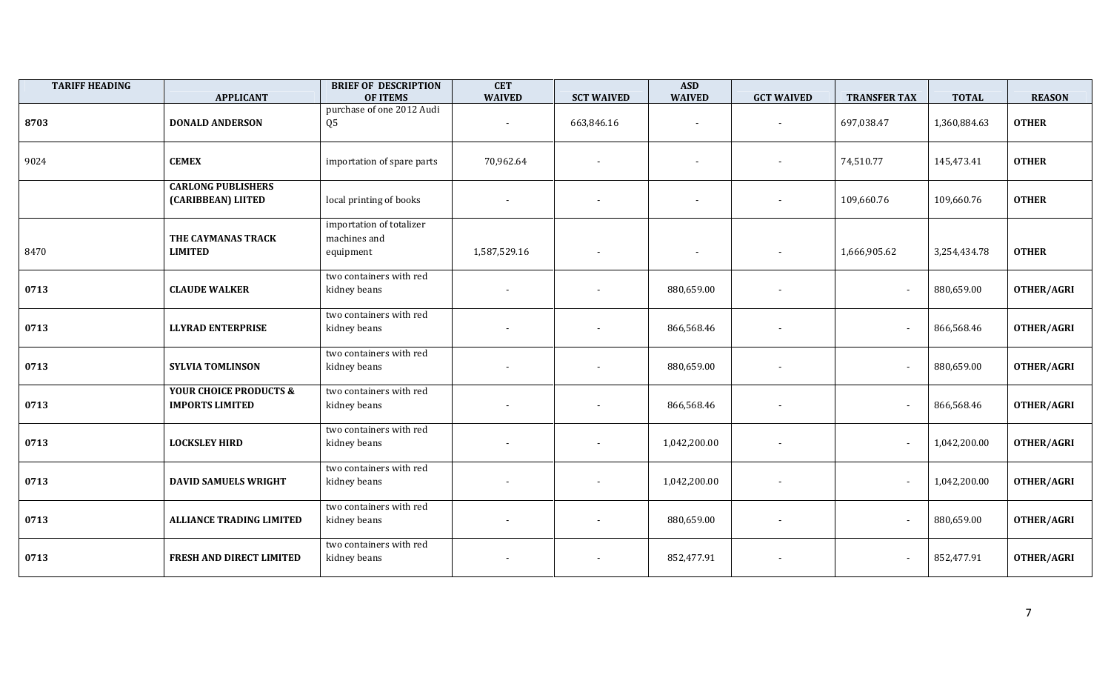| <b>TARIFF HEADING</b> | <b>APPLICANT</b>                                            | <b>BRIEF OF DESCRIPTION</b><br><b>OF ITEMS</b>        | <b>CET</b><br><b>WAIVED</b> | <b>SCT WAIVED</b>        | <b>ASD</b><br><b>WAIVED</b> | <b>GCT WAIVED</b>        | <b>TRANSFER TAX</b> | <b>TOTAL</b> | <b>REASON</b>     |
|-----------------------|-------------------------------------------------------------|-------------------------------------------------------|-----------------------------|--------------------------|-----------------------------|--------------------------|---------------------|--------------|-------------------|
| 8703                  | <b>DONALD ANDERSON</b>                                      | purchase of one 2012 Audi<br>Q <sub>5</sub>           |                             | 663,846.16               |                             | $\sim$                   | 697,038.47          | 1,360,884.63 | <b>OTHER</b>      |
| 9024                  | <b>CEMEX</b>                                                | importation of spare parts                            | 70,962.64                   |                          | $\blacksquare$              | $\sim$                   | 74,510.77           | 145,473.41   | <b>OTHER</b>      |
|                       | <b>CARLONG PUBLISHERS</b><br>(CARIBBEAN) LIITED             | local printing of books                               |                             | $\overline{\phantom{a}}$ | $\blacksquare$              | $\blacksquare$           | 109,660.76          | 109,660.76   | <b>OTHER</b>      |
| 8470                  | THE CAYMANAS TRACK<br><b>LIMITED</b>                        | importation of totalizer<br>machines and<br>equipment | 1,587,529.16                |                          | $\blacksquare$              |                          | 1,666,905.62        | 3,254,434.78 | <b>OTHER</b>      |
| 0713                  | <b>CLAUDE WALKER</b>                                        | two containers with red<br>kidney beans               |                             |                          | 880,659.00                  |                          |                     | 880,659.00   | <b>OTHER/AGRI</b> |
| 0713                  | <b>LLYRAD ENTERPRISE</b>                                    | two containers with red<br>kidney beans               |                             |                          | 866,568.46                  | $\blacksquare$           |                     | 866,568.46   | <b>OTHER/AGRI</b> |
| 0713                  | <b>SYLVIA TOMLINSON</b>                                     | two containers with red<br>kidney beans               | $\overline{\phantom{a}}$    |                          | 880,659.00                  | $\sim$                   |                     | 880,659.00   | <b>OTHER/AGRI</b> |
| 0713                  | <b>YOUR CHOICE PRODUCTS &amp;</b><br><b>IMPORTS LIMITED</b> | two containers with red<br>kidney beans               |                             |                          | 866,568.46                  | $\overline{\phantom{a}}$ |                     | 866,568.46   | OTHER/AGRI        |
| 0713                  | <b>LOCKSLEY HIRD</b>                                        | two containers with red<br>kidney beans               |                             |                          | 1,042,200.00                |                          |                     | 1,042,200.00 | <b>OTHER/AGRI</b> |
| 0713                  | <b>DAVID SAMUELS WRIGHT</b>                                 | two containers with red<br>kidney beans               | $\blacksquare$              |                          | 1,042,200.00                | $\sim$                   |                     | 1,042,200.00 | OTHER/AGRI        |
| 0713                  | <b>ALLIANCE TRADING LIMITED</b>                             | two containers with red<br>kidney beans               | $\blacksquare$              |                          | 880,659.00                  | $\sim$                   |                     | 880,659.00   | <b>OTHER/AGRI</b> |
| 0713                  | FRESH AND DIRECT LIMITED                                    | two containers with red<br>kidney beans               |                             |                          | 852,477.91                  |                          |                     | 852,477.91   | <b>OTHER/AGRI</b> |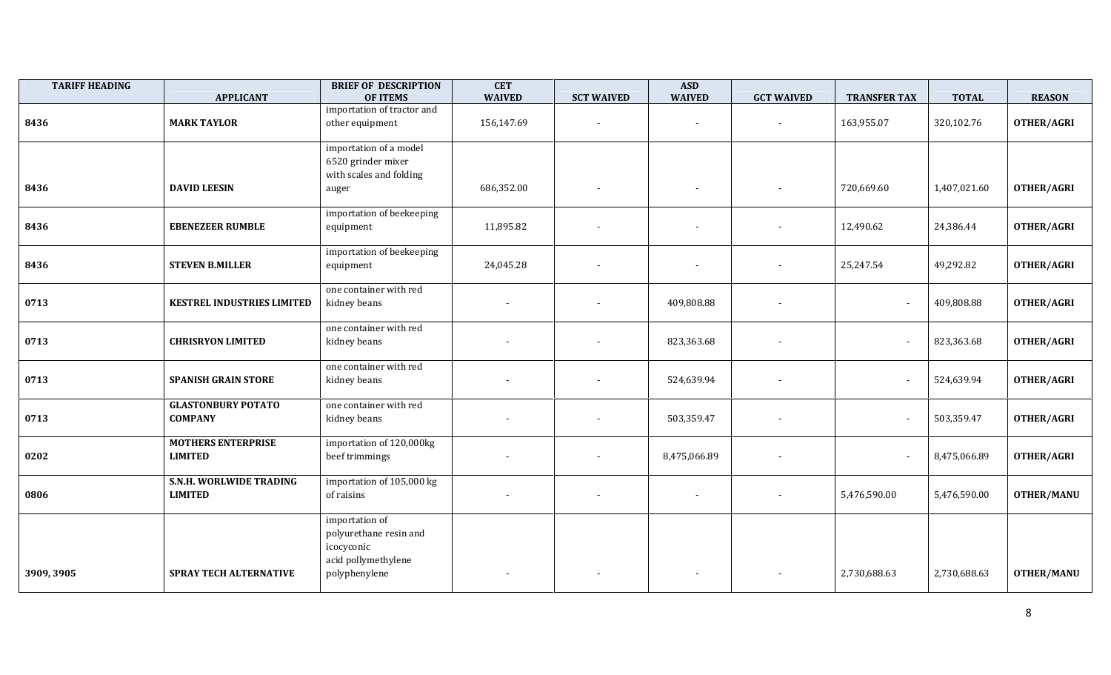| <b>TARIFF HEADING</b> | <b>APPLICANT</b>                            | <b>BRIEF OF DESCRIPTION</b><br><b>OF ITEMS</b>                                                 | <b>CET</b><br><b>WAIVED</b> | <b>SCT WAIVED</b>        | <b>ASD</b><br><b>WAIVED</b> | <b>GCT WAIVED</b>        | <b>TRANSFER TAX</b> | <b>TOTAL</b> | <b>REASON</b>     |
|-----------------------|---------------------------------------------|------------------------------------------------------------------------------------------------|-----------------------------|--------------------------|-----------------------------|--------------------------|---------------------|--------------|-------------------|
| 8436                  | <b>MARK TAYLOR</b>                          | importation of tractor and<br>other equipment                                                  | 156,147.69                  | $\overline{\phantom{a}}$ |                             | $\sim$                   | 163,955.07          | 320,102.76   | OTHER/AGRI        |
| 8436                  | <b>DAVID LEESIN</b>                         | importation of a model<br>6520 grinder mixer<br>with scales and folding<br>auger               | 686,352.00                  |                          | $\overline{\phantom{a}}$    |                          | 720,669.60          | 1,407,021.60 | OTHER/AGRI        |
| 8436                  | <b>EBENEZEER RUMBLE</b>                     | importation of beekeeping<br>equipment                                                         | 11,895.82                   |                          | $\overline{\phantom{a}}$    | $\overline{\phantom{a}}$ | 12,490.62           | 24,386.44    | OTHER/AGRI        |
| 8436                  | <b>STEVEN B.MILLER</b>                      | importation of beekeeping<br>equipment                                                         | 24,045.28                   | $\overline{\phantom{a}}$ | $\overline{\phantom{a}}$    | $\overline{\phantom{a}}$ | 25,247.54           | 49,292.82    | <b>OTHER/AGRI</b> |
| 0713                  | <b>KESTREL INDUSTRIES LIMITED</b>           | one container with red<br>kidney beans                                                         |                             |                          | 409,808.88                  |                          |                     | 409,808.88   | OTHER/AGRI        |
| 0713                  | <b>CHRISRYON LIMITED</b>                    | one container with red<br>kidney beans                                                         |                             |                          | 823,363.68                  |                          |                     | 823,363.68   | <b>OTHER/AGRI</b> |
| 0713                  | <b>SPANISH GRAIN STORE</b>                  | one container with red<br>kidney beans                                                         |                             |                          | 524,639.94                  |                          |                     | 524,639.94   | OTHER/AGRI        |
| 0713                  | <b>GLASTONBURY POTATO</b><br><b>COMPANY</b> | one container with red<br>kidney beans                                                         |                             |                          | 503,359.47                  |                          |                     | 503,359.47   | OTHER/AGRI        |
| 0202                  | <b>MOTHERS ENTERPRISE</b><br><b>LIMITED</b> | importation of 120,000kg<br>beef trimmings                                                     |                             | $\overline{\phantom{a}}$ | 8,475,066.89                | $\overline{\phantom{a}}$ |                     | 8,475,066.89 | <b>OTHER/AGRI</b> |
| 0806                  | S.N.H. WORLWIDE TRADING<br><b>LIMITED</b>   | importation of 105,000 kg<br>of raisins                                                        |                             |                          | $\blacksquare$              |                          | 5,476,590.00        | 5,476,590.00 | <b>OTHER/MANU</b> |
| 3909, 3905            | <b>SPRAY TECH ALTERNATIVE</b>               | importation of<br>polyurethane resin and<br>icocyconic<br>acid pollymethylene<br>polyphenylene |                             |                          |                             |                          | 2,730,688.63        | 2,730,688.63 | <b>OTHER/MANU</b> |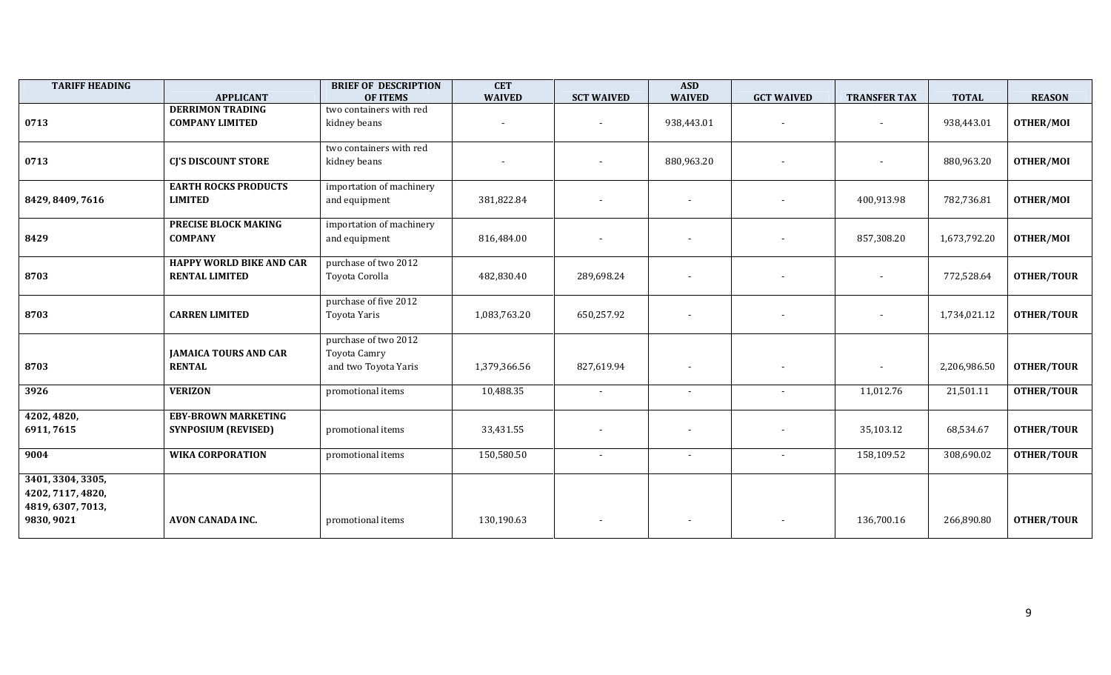| <b>TARIFF HEADING</b>                                                     | <b>APPLICANT</b>                                         | <b>BRIEF OF DESCRIPTION</b><br><b>OF ITEMS</b>               | <b>CET</b><br><b>WAIVED</b> | <b>SCT WAIVED</b>        | <b>ASD</b><br><b>WAIVED</b> | <b>GCT WAIVED</b>        | <b>TRANSFER TAX</b> | <b>TOTAL</b> | <b>REASON</b>     |
|---------------------------------------------------------------------------|----------------------------------------------------------|--------------------------------------------------------------|-----------------------------|--------------------------|-----------------------------|--------------------------|---------------------|--------------|-------------------|
| 0713                                                                      | <b>DERRIMON TRADING</b><br><b>COMPANY LIMITED</b>        | two containers with red<br>kidney beans                      |                             | $\overline{\phantom{a}}$ | 938,443.01                  | $\overline{\phantom{a}}$ |                     | 938,443.01   | OTHER/MOI         |
| 0713                                                                      | <b>CJ'S DISCOUNT STORE</b>                               | two containers with red<br>kidney beans                      |                             |                          | 880,963.20                  | $\overline{\phantom{a}}$ |                     | 880,963.20   | OTHER/MOI         |
| 8429, 8409, 7616                                                          | <b>EARTH ROCKS PRODUCTS</b><br><b>LIMITED</b>            | importation of machinery<br>and equipment                    | 381,822.84                  | $\overline{\phantom{a}}$ | $\overline{\phantom{a}}$    |                          | 400,913.98          | 782,736.81   | OTHER/MOI         |
| 8429                                                                      | PRECISE BLOCK MAKING<br><b>COMPANY</b>                   | importation of machinery<br>and equipment                    | 816,484.00                  | $\overline{\phantom{a}}$ | $\overline{\phantom{a}}$    | $\overline{\phantom{a}}$ | 857,308.20          | 1,673,792.20 | OTHER/MOI         |
| 8703                                                                      | <b>HAPPY WORLD BIKE AND CAR</b><br><b>RENTAL LIMITED</b> | purchase of two 2012<br>Toyota Corolla                       | 482,830.40                  | 289,698.24               | $\overline{\phantom{a}}$    |                          |                     | 772,528.64   | <b>OTHER/TOUR</b> |
| 8703                                                                      | <b>CARREN LIMITED</b>                                    | purchase of five 2012<br>Toyota Yaris                        | 1,083,763.20                | 650,257.92               | $\sim$                      | $\overline{\phantom{a}}$ |                     | 1,734,021.12 | <b>OTHER/TOUR</b> |
| 8703                                                                      | <b>JAMAICA TOURS AND CAR</b><br><b>RENTAL</b>            | purchase of two 2012<br>Toyota Camry<br>and two Toyota Yaris | 1,379,366.56                | 827,619.94               | $\overline{\phantom{a}}$    |                          |                     | 2,206,986.50 | <b>OTHER/TOUR</b> |
| 3926                                                                      | <b>VERIZON</b>                                           | promotional items                                            | 10,488.35                   | $\sim$                   | $\overline{\phantom{a}}$    |                          | 11,012.76           | 21,501.11    | <b>OTHER/TOUR</b> |
| 4202, 4820,<br>6911, 7615                                                 | <b>EBY-BROWN MARKETING</b><br><b>SYNPOSIUM (REVISED)</b> | promotional items                                            | 33,431.55                   |                          | $\overline{\phantom{a}}$    |                          | 35,103.12           | 68,534.67    | <b>OTHER/TOUR</b> |
| 9004                                                                      | <b>WIKA CORPORATION</b>                                  | promotional items                                            | 150,580.50                  | $\overline{\phantom{a}}$ | $\overline{\phantom{a}}$    | $\overline{\phantom{a}}$ | 158,109.52          | 308,690.02   | <b>OTHER/TOUR</b> |
| 3401, 3304, 3305,<br>4202, 7117, 4820,<br>4819, 6307, 7013,<br>9830, 9021 | <b>AVON CANADA INC.</b>                                  | promotional items                                            | 130,190.63                  | $\overline{\phantom{a}}$ | $\overline{\phantom{a}}$    | $\overline{\phantom{a}}$ | 136,700.16          | 266,890.80   | <b>OTHER/TOUR</b> |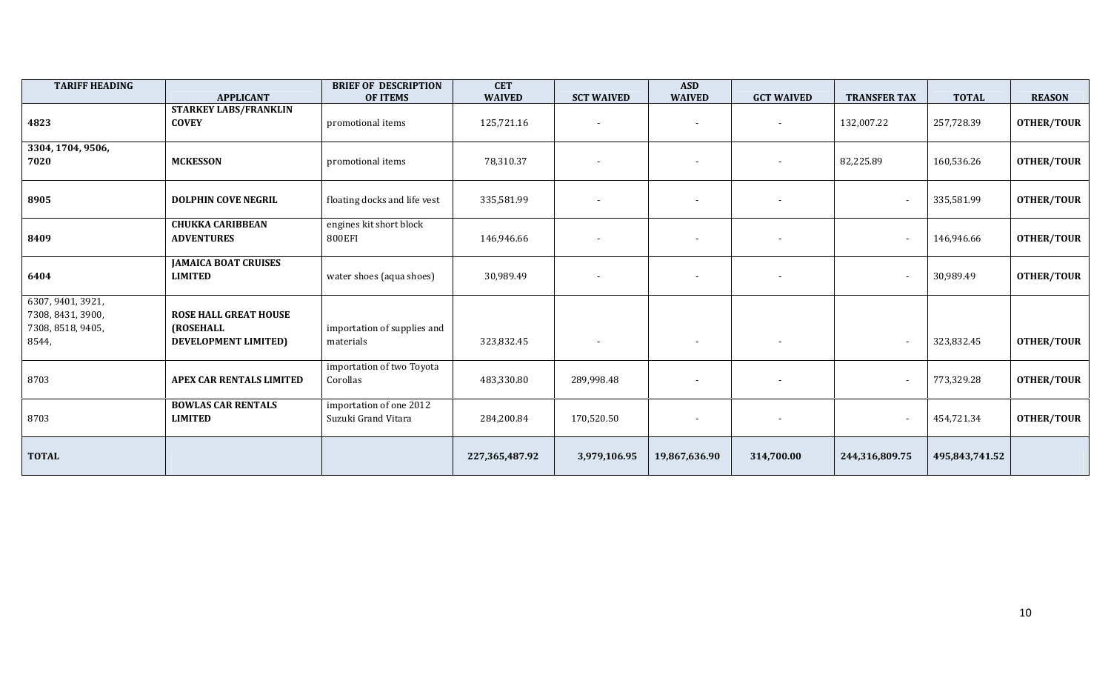| <b>TARIFF HEADING</b>                                                | <b>APPLICANT</b>                                                  | <b>BRIEF OF DESCRIPTION</b><br><b>OF ITEMS</b> | <b>CET</b><br><b>WAIVED</b> | <b>SCT WAIVED</b>        | <b>ASD</b><br><b>WAIVED</b> | <b>GCT WAIVED</b>        | <b>TRANSFER TAX</b>      | <b>TOTAL</b>   | <b>REASON</b>     |
|----------------------------------------------------------------------|-------------------------------------------------------------------|------------------------------------------------|-----------------------------|--------------------------|-----------------------------|--------------------------|--------------------------|----------------|-------------------|
| 4823                                                                 | <b>STARKEY LABS/FRANKLIN</b><br><b>COVEY</b>                      | promotional items                              | 125,721.16                  | $\overline{\phantom{a}}$ | $\overline{\phantom{a}}$    | $\overline{\phantom{a}}$ | 132,007.22               | 257,728.39     | <b>OTHER/TOUR</b> |
| 3304, 1704, 9506,<br>7020                                            | <b>MCKESSON</b>                                                   | promotional items                              | 78,310.37                   | $\overline{\phantom{a}}$ | $\sim$                      | $\overline{\phantom{a}}$ | 82,225.89                | 160,536.26     | <b>OTHER/TOUR</b> |
| 8905                                                                 | <b>DOLPHIN COVE NEGRIL</b>                                        | floating docks and life vest                   | 335,581.99                  | $\overline{\phantom{a}}$ |                             | $\blacksquare$           | $\blacksquare$           | 335,581.99     | <b>OTHER/TOUR</b> |
| 8409                                                                 | <b>CHUKKA CARIBBEAN</b><br><b>ADVENTURES</b>                      | engines kit short block<br>800EFI              | 146,946.66                  | $\overline{\phantom{a}}$ |                             | $\overline{\phantom{a}}$ | $\blacksquare$           | 146,946.66     | <b>OTHER/TOUR</b> |
| 6404                                                                 | <b>JAMAICA BOAT CRUISES</b><br><b>LIMITED</b>                     | water shoes (aqua shoes)                       | 30,989.49                   | $\overline{\phantom{a}}$ | $\overline{\phantom{a}}$    | $\overline{\phantom{a}}$ | $\overline{\phantom{a}}$ | 30,989.49      | <b>OTHER/TOUR</b> |
| 6307, 9401, 3921,<br>7308, 8431, 3900,<br>7308, 8518, 9405,<br>8544, | <b>ROSE HALL GREAT HOUSE</b><br>(ROSEHALL<br>DEVELOPMENT LIMITED) | importation of supplies and<br>materials       | 323,832.45                  | $\overline{\phantom{a}}$ | $\overline{\phantom{a}}$    | $\overline{\phantom{a}}$ | $\overline{\phantom{a}}$ | 323,832.45     | <b>OTHER/TOUR</b> |
| 8703                                                                 | APEX CAR RENTALS LIMITED                                          | importation of two Toyota<br>Corollas          | 483,330.80                  | 289,998.48               | $\overline{\phantom{a}}$    | $\overline{\phantom{a}}$ | $\sim$                   | 773,329.28     | <b>OTHER/TOUR</b> |
| 8703                                                                 | <b>BOWLAS CAR RENTALS</b><br><b>LIMITED</b>                       | importation of one 2012<br>Suzuki Grand Vitara | 284,200.84                  | 170,520.50               |                             | $\overline{\phantom{a}}$ | $\overline{\phantom{a}}$ | 454,721.34     | <b>OTHER/TOUR</b> |
| <b>TOTAL</b>                                                         |                                                                   |                                                | 227,365,487.92              | 3,979,106.95             | 19,867,636.90               | 314,700.00               | 244,316,809.75           | 495,843,741.52 |                   |